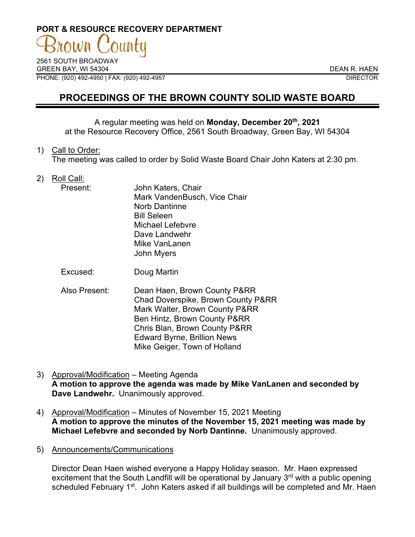# **PORT & RESOURCE RECOVERY DEPARTMENT**

2561 SOUTH BROADWAY GREEN BAY. WI 54304 DEAN R. HAEN PHONE: (920) 492-4950 | FAX: (920) 492-4957 DIRECTOR

## **PROCEEDINGS OF THE BROWN COUNTY SOLID WASTE BOARD**

A regular meeting was held on **Monday, December 20th, 2021** at the Resource Recovery Office, 2561 South Broadway, Green Bay, WI 54304

1) Call to Order:

The meeting was called to order by Solid Waste Board Chair John Katers at 2:30 pm.

2) Roll Call:

| Present: | John Katers, Chair           |
|----------|------------------------------|
|          | Mark VandenBusch, Vice Chair |
|          | <b>Norb Dantinne</b>         |
|          | <b>Bill Seleen</b>           |
|          | Michael Lefebvre             |
|          | Dave Landwehr                |
|          | Mike VanLanen                |
|          | John Myers                   |
|          |                              |

Excused: Doug Martin

- Also Present: Dean Haen, Brown County P&RR Chad Doverspike, Brown County P&RR Mark Walter, Brown County P&RR Ben Hintz, Brown County P&RR Chris Blan, Brown County P&RR Edward Byrne, Brillion News Mike Geiger, Town of Holland
- 3) Approval/Modification Meeting Agenda **A motion to approve the agenda was made by Mike VanLanen and seconded by Dave Landwehr.** Unanimously approved.
- 4) Approval/Modification Minutes of November 15, 2021 Meeting **A motion to approve the minutes of the November 15, 2021 meeting was made by Michael Lefebvre and seconded by Norb Dantinne.** Unanimously approved.
- 5) Announcements/Communications

Director Dean Haen wished everyone a Happy Holiday season. Mr. Haen expressed excitement that the South Landfill will be operational by January 3<sup>rd</sup> with a public opening scheduled February 1<sup>st</sup>. John Katers asked if all buildings will be completed and Mr. Haen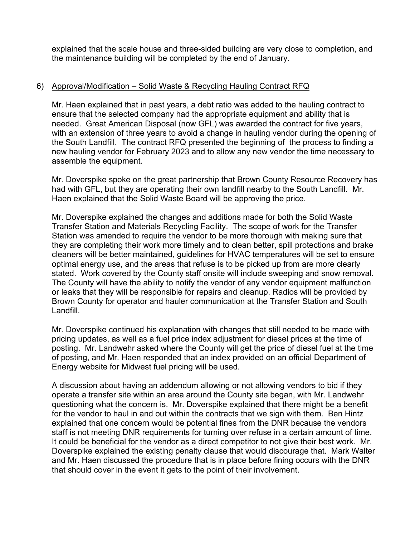explained that the scale house and three-sided building are very close to completion, and the maintenance building will be completed by the end of January.

#### 6) Approval/Modification – Solid Waste & Recycling Hauling Contract RFQ

Mr. Haen explained that in past years, a debt ratio was added to the hauling contract to ensure that the selected company had the appropriate equipment and ability that is needed. Great American Disposal (now GFL) was awarded the contract for five years, with an extension of three years to avoid a change in hauling vendor during the opening of the South Landfill. The contract RFQ presented the beginning of the process to finding a new hauling vendor for February 2023 and to allow any new vendor the time necessary to assemble the equipment.

Mr. Doverspike spoke on the great partnership that Brown County Resource Recovery has had with GFL, but they are operating their own landfill nearby to the South Landfill. Mr. Haen explained that the Solid Waste Board will be approving the price.

Mr. Doverspike explained the changes and additions made for both the Solid Waste Transfer Station and Materials Recycling Facility. The scope of work for the Transfer Station was amended to require the vendor to be more thorough with making sure that they are completing their work more timely and to clean better, spill protections and brake cleaners will be better maintained, guidelines for HVAC temperatures will be set to ensure optimal energy use, and the areas that refuse is to be picked up from are more clearly stated. Work covered by the County staff onsite will include sweeping and snow removal. The County will have the ability to notify the vendor of any vendor equipment malfunction or leaks that they will be responsible for repairs and cleanup. Radios will be provided by Brown County for operator and hauler communication at the Transfer Station and South Landfill.

Mr. Doverspike continued his explanation with changes that still needed to be made with pricing updates, as well as a fuel price index adjustment for diesel prices at the time of posting. Mr. Landwehr asked where the County will get the price of diesel fuel at the time of posting, and Mr. Haen responded that an index provided on an official Department of Energy website for Midwest fuel pricing will be used.

A discussion about having an addendum allowing or not allowing vendors to bid if they operate a transfer site within an area around the County site began, with Mr. Landwehr questioning what the concern is. Mr. Doverspike explained that there might be a benefit for the vendor to haul in and out within the contracts that we sign with them. Ben Hintz explained that one concern would be potential fines from the DNR because the vendors staff is not meeting DNR requirements for turning over refuse in a certain amount of time. It could be beneficial for the vendor as a direct competitor to not give their best work. Mr. Doverspike explained the existing penalty clause that would discourage that. Mark Walter and Mr. Haen discussed the procedure that is in place before fining occurs with the DNR that should cover in the event it gets to the point of their involvement.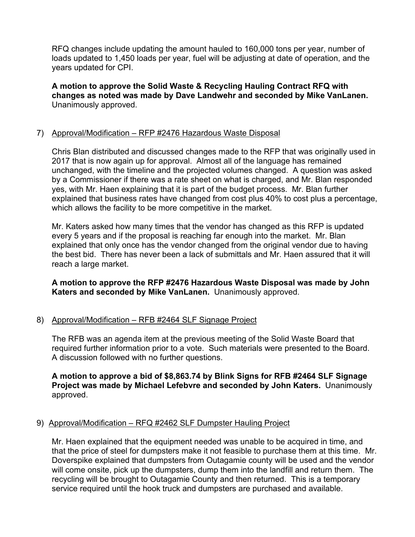RFQ changes include updating the amount hauled to 160,000 tons per year, number of loads updated to 1,450 loads per year, fuel will be adjusting at date of operation, and the years updated for CPI.

**A motion to approve the Solid Waste & Recycling Hauling Contract RFQ with changes as noted was made by Dave Landwehr and seconded by Mike VanLanen.**  Unanimously approved.

#### 7) Approval/Modification – RFP #2476 Hazardous Waste Disposal

Chris Blan distributed and discussed changes made to the RFP that was originally used in 2017 that is now again up for approval. Almost all of the language has remained unchanged, with the timeline and the projected volumes changed. A question was asked by a Commissioner if there was a rate sheet on what is charged, and Mr. Blan responded yes, with Mr. Haen explaining that it is part of the budget process. Mr. Blan further explained that business rates have changed from cost plus 40% to cost plus a percentage, which allows the facility to be more competitive in the market.

Mr. Katers asked how many times that the vendor has changed as this RFP is updated every 5 years and if the proposal is reaching far enough into the market. Mr. Blan explained that only once has the vendor changed from the original vendor due to having the best bid. There has never been a lack of submittals and Mr. Haen assured that it will reach a large market.

#### **A motion to approve the RFP #2476 Hazardous Waste Disposal was made by John Katers and seconded by Mike VanLanen.** Unanimously approved.

#### 8) Approval/Modification – RFB #2464 SLF Signage Project

The RFB was an agenda item at the previous meeting of the Solid Waste Board that required further information prior to a vote. Such materials were presented to the Board. A discussion followed with no further questions.

#### **A motion to approve a bid of \$8,863.74 by Blink Signs for RFB #2464 SLF Signage Project was made by Michael Lefebvre and seconded by John Katers.** Unanimously approved.

### 9) Approval/Modification - RFQ #2462 SLF Dumpster Hauling Project

Mr. Haen explained that the equipment needed was unable to be acquired in time, and that the price of steel for dumpsters make it not feasible to purchase them at this time. Mr. Doverspike explained that dumpsters from Outagamie county will be used and the vendor will come onsite, pick up the dumpsters, dump them into the landfill and return them. The recycling will be brought to Outagamie County and then returned. This is a temporary service required until the hook truck and dumpsters are purchased and available.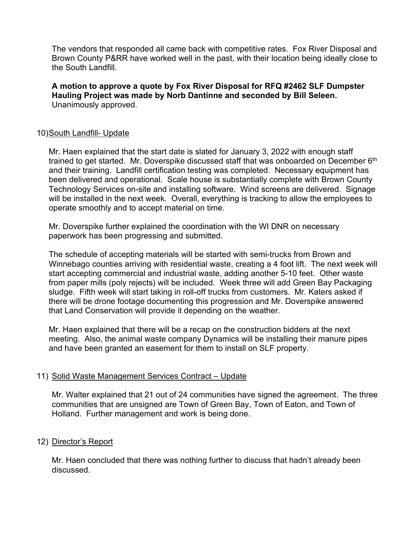The vendors that responded all came back with competitive rates. Fox River Disposal and Brown County P&RR have worked well in the past, with their location being ideally close to the South Landfill.

**A motion to approve a quote by Fox River Disposal for RFQ #2462 SLF Dumpster Hauling Project was made by Norb Dantinne and seconded by Bill Seleen.**  Unanimously approved.

#### 10)South Landfill- Update

Mr. Haen explained that the start date is slated for January 3, 2022 with enough staff trained to get started. Mr. Doverspike discussed staff that was onboarded on December  $6<sup>th</sup>$ and their training. Landfill certification testing was completed. Necessary equipment has been delivered and operational. Scale house is substantially complete with Brown County Technology Services on-site and installing software. Wind screens are delivered. Signage will be installed in the next week. Overall, everything is tracking to allow the employees to operate smoothly and to accept material on time.

Mr. Doverspike further explained the coordination with the WI DNR on necessary paperwork has been progressing and submitted.

The schedule of accepting materials will be started with semi-trucks from Brown and Winnebago counties arriving with residential waste, creating a 4 foot lift. The next week will start accepting commercial and industrial waste, adding another 5-10 feet. Other waste from paper mills (poly rejects) will be included. Week three will add Green Bay Packaging sludge. Fifth week will start taking in roll-off trucks from customers. Mr. Katers asked if there will be drone footage documenting this progression and Mr. Doverspike answered that Land Conservation will provide it depending on the weather.

Mr. Haen explained that there will be a recap on the construction bidders at the next meeting. Also, the animal waste company Dynamics will be installing their manure pipes and have been granted an easement for them to install on SLF property.

#### 11) Solid Waste Management Services Contract – Update

Mr. Walter explained that 21 out of 24 communities have signed the agreement. The three communities that are unsigned are Town of Green Bay, Town of Eaton, and Town of Holland. Further management and work is being done.

#### 12) Director's Report

Mr. Haen concluded that there was nothing further to discuss that hadn't already been discussed.